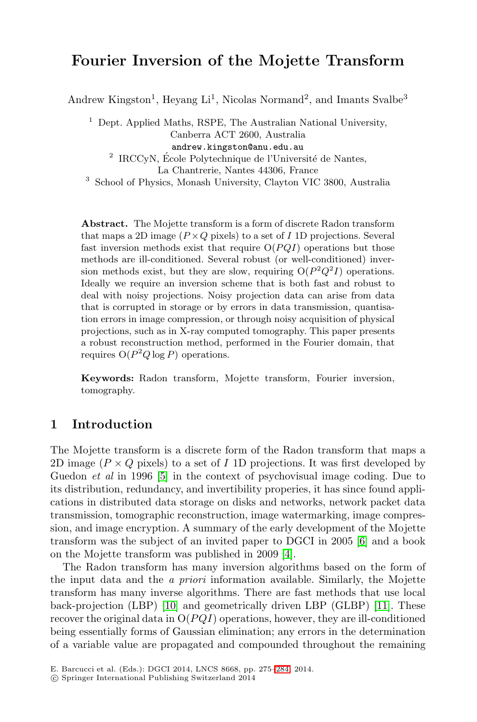# **Fourier Inversion of the Mojette Transform**

Andrew Kingston<sup>1</sup>, Heyang Li<sup>1</sup>, Nicolas Normand<sup>2</sup>, and Imants Svalbe<sup>3</sup>

 $1$  Dept. Applied Maths, RSPE, The Australian National University, Canberra ACT 2600, Australia andrew.kingston@anu.edu.au  $^2$  IRCCyN, École Polytechnique de l'Université de Nantes, La Chantrerie, Nantes 44306, France

<sup>3</sup> School of Physics, Monash University, Clayton VIC 3800, Australia

**Abstract.** The Mojette transform is a form of discrete Radon transform that maps a 2D image  $(P \times Q$  pixels) to a set of I 1D projections. Several fast inversion methods exist that require  $O(PQI)$  operations but those methods are ill-conditioned. Several robust (or well-conditioned) inversion methods exist, but they are slow, requiring  $O(P^2Q^2I)$  operations. Ideally we require an inversion scheme that is both fast and robust to deal with noisy projections. Noisy projection data can arise from data that is corrupted in storage or by errors in data transmission, quantisation errors in image compression, or through noisy acquisition of physical projections, such as in X-ray computed tomography. This paper presents a robust reconstruction method, performed in the Fourier domain, that requires  $O(P^2Q \log P)$  operations.

**[K](#page-9-0)eywords:** Radon transform, Mojette transform, Fourier inversion, tomography.

## **1 Introduction**

The Mojette transform is a dis[cr](#page-9-2)ete form of th[e](#page-9-1) Radon transform that maps a 2D image ( $P \times Q$  pixels) to a set of I 1D projections. It was first developed by Guedon *et al* in 1996 [5] in the context of psychovisual image coding. Due to its distribution, redundancy, and invertibility properies, it has since found application[s in](#page-9-3) distributed data storage on disks and n[etwo](#page-9-4)rks, network packet data transmission, tomographic reconstruction, image watermarking, image compression, and image encryption. A summary of the early development of the Mojette transform was the subject of an invited paper to DGCI in 2005 [6] and a book on the Mojette transform was published in 2009 [4].

The Radon transform has [ma](#page-9-5)ny inversion algorithms based on the form of the input data and the *a priori* information available. Similarly, the Mojette transform has many inverse algorithms. There are fast methods that use local back-projection (LBP) [10] and geometrically driven LBP (GLBP) [11]. These recover the original data in  $O(PQI)$  operations, however, they are ill-conditioned being essentially forms of Gaussian elimination; any errors in the determination of a variable value are propagated and compounded throughout the remaining

E. Barcucci et al. (Eds.): DGCI 2014, LNCS 8668, pp. 275–284, 2014.

<sup>-</sup>c Springer International Publishing Switzerland 2014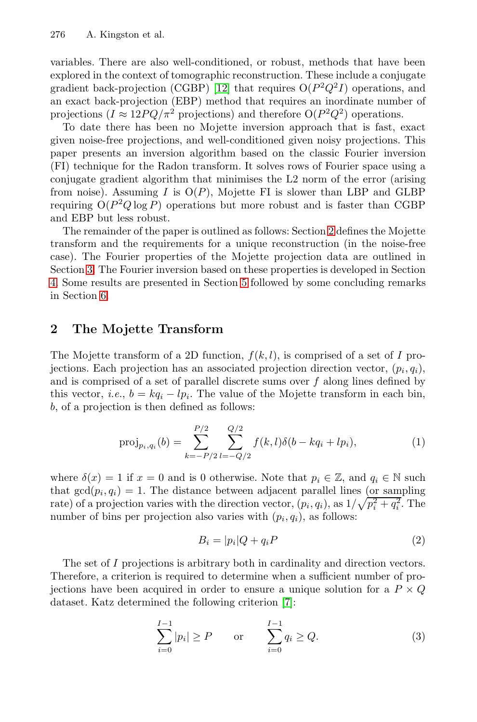276 A. Kingston et al.

variables. There are also well-conditioned, or robust, methods that have been explored in the context of tomographic reconstruction. These include a conjugate gradient back-projection (CGBP) [12] that requires  $O(P^2Q^2I)$  operations, and an exact back-projection (EBP) method that requires an inordinate number of projections ( $I \approx 12PQ/\pi^2$  projections) and therefore  $O(P^2Q^2)$  operations.

<span id="page-1-0"></span>To date there has been no Mojette [in](#page-1-0)version approach that is fast, exact given noise-free projections, and well-conditioned given noisy projections. This paper presents an inversion algorithm based on the classic Fourier inversion (FI) technique for the Radon transform. It solves rows of Fourier space using a conjugate gradient al[gor](#page-6-0)ithm that minimises the L2 norm of the error (arising from noise). Assuming I is  $O(P)$ , Mojette FI is slower than LBP and GLBP requiring  $O(P^2Q \log P)$  operations but more robust and is faster than CGBP and EBP but less robust.

The remainder of the paper is outlined as follows: Section 2 defines the Mojette transform and the requirements for a unique reconstruction (in the noise-free case). The Fourier properties of the Mojette projection data are outlined in Section 3. The Fourier inversion based on these properties is developed in Section 4. Some results are presented in Section 5 followed by some concluding remarks in Section 6.

## **2 The Mojette Transform**

The Mojette transform of a 2D function,  $f(k, l)$ , is comprised of a set of I projections. Each projection has an associated projection direction vector,  $(p_i, q_i)$ , and is comprised of a set of parallel discrete sums over  $f$  along lines defined by this vector, *i.e.*,  $b = kq_i - lp_i$ . The value of the Mojette transform in each bin, b, of a projection is then defined as follows:

$$
\text{proj}_{p_i, q_i}(b) = \sum_{k=-P/2}^{P/2} \sum_{l=-Q/2}^{Q/2} f(k, l) \delta(b - kq_i + lp_i), \tag{1}
$$

where  $\delta(x) = 1$  if  $x = 0$  and is 0 otherwise. Note that  $p_i \in \mathbb{Z}$ , and  $q_i \in \mathbb{N}$  such that  $gcd(p_i, q_i) = 1$ . The distance between adjacent parallel lines (or sampling rate) of a projection varies with [th](#page-9-6)e direction vector,  $(p_i, q_i)$ , as  $1/\sqrt{p_i^2 + q_i^2}$ . The number of bins per projection also varies with  $(p_i, q_i)$  as follows: number of bins per projection also varies with  $(p_i, q_i)$ , as follows:

<span id="page-1-1"></span>
$$
B_i = |p_i|Q + q_i P \tag{2}
$$

The set of I projections is arbitrary both in cardinality and direction vectors. Therefore, a criterion is required to determine when a sufficient number of projections have been acquired in order to ensure a unique solution for a  $P \times Q$ dataset. Katz determined the following criterion [7]:

$$
\sum_{i=0}^{I-1} |p_i| \ge P \qquad \text{or} \qquad \sum_{i=0}^{I-1} q_i \ge Q. \tag{3}
$$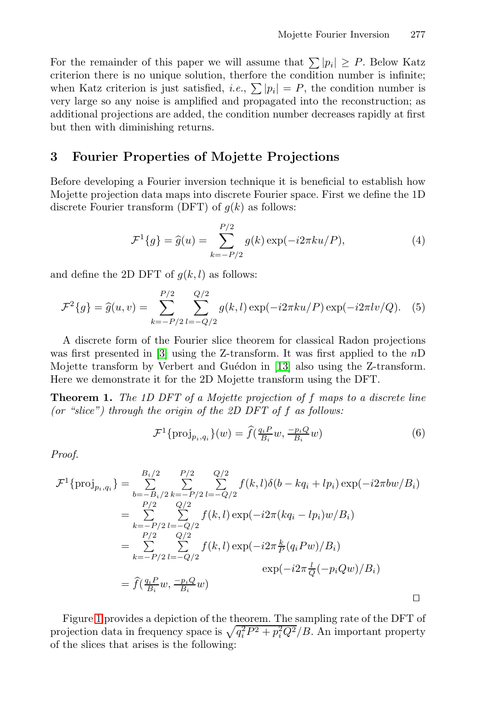For the remainder of this paper we will assume that  $\sum |p_i| \ge P$ . Below Katz criterion there is no unique solution, therfore the condition number is infinite; when Katz criterion is just satisfied, *i.e.*,  $\sum |p_i| = P$ , the condition number is<br>very large so any noise is applified and propagated into the reconstruction: as very large so any noise is amplified and propagated into the reconstruction; as additional projections are added, the condition number decreases rapidly at first but then with diminishing returns.

## **3 Fourier Properties of Mojette Projections**

Before developing a Fourier inversion technique it is beneficial to establish how Mojette projection data maps into discrete Fourier space. First we define the 1D discrete Fourier transform (DFT) of  $g(k)$  as follows:

$$
\mathcal{F}^1\{g\} = \hat{g}(u) = \sum_{k=-P/2}^{P/2} g(k) \exp(-i2\pi ku/P), \tag{4}
$$

and define the 2D DFT of  $q(k, l)$  $q(k, l)$  as follows:

$$
\mathcal{F}^2\{g\} = \hat{g}(u,v) = \sum_{k=-P/2}^{P/2} \sum_{l=-Q/2}^{Q/2} g(k,l) \exp(-i2\pi ku/P) \exp(-i2\pi l v/Q). \tag{5}
$$

A discrete form of the Fourier slice theorem for classical Radon projections was first presented in [3] using the Z-transform. It was first applied to the n<sup>D</sup> Mojette transform by Verbert and Guédon in [13] also using the Z-transform. Here we demonstrate it for the 2D Mojette transform using the DFT.

**Theorem 1.** *The 1D DFT of a Mojette projection of* f *maps to a discrete line (or "slice") through the origin of the 2D DFT of* f *as follows:*

$$
\mathcal{F}^1\{\text{proj}_{p_i,q_i}\}(w) = \hat{f}(\tfrac{q_i P}{B_i}w, \tfrac{-p_i Q}{B_i}w)
$$
\n
$$
(6)
$$

*Proof.*

$$
\mathcal{F}^1\{\text{proj}_{p_i,q_i}\} = \sum_{b=-B_i/2}^{B_i/2} \sum_{k=-P/2}^{P/2} \sum_{l=-Q/2}^{Q/2} f(k,l)\delta(b - kq_i + lp_i) \exp(-i2\pi bw/B_i)
$$
  
\n
$$
= \sum_{\substack{P/2 \ P/2 \ l=-Q/2}}^{P/2} f(k,l) \exp(-i2\pi (kq_i - lp_i) w/B_i)
$$
  
\n
$$
= \sum_{\substack{P/2 \ Q/2}}^{P/2} f(k,l) \exp(-i2\pi \frac{k}{P}(q_i Pw)/B_i)
$$
  
\n
$$
= \sum_{k=-P/2}^{P/2} \sum_{l=-Q/2}^{Q/2} f(k,l) \exp(-i2\pi \frac{k}{P}(q_i Pw)/B_i)
$$
  
\n
$$
= \hat{f}(\frac{q_i P}{B_i} w, \frac{-p_i Q}{B_i} w)
$$

Figure 1 provides a depiction of the theorem. The sampling rate of the DFT of projection data in frequency space is  $\sqrt{q_i^2 P^2 + p_i^2 Q^2}/B$ . An important property of the slices that arises is the following: of the slices that arises is the following: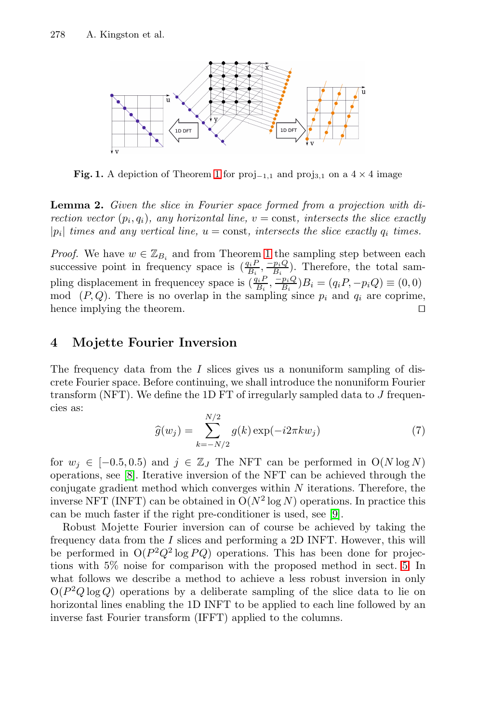

**Fig. 1.** A depiction of Theorem 1 for  $proj_{-1,1}$  and  $proj_{3,1}$  on a 4 × 4 image

**Lemma 2.** *Given the slice in Fourier space formed from a projection with direction vector*  $(p_i, q_i)$ *, any horizontal line,*  $v = \text{const}$ *, intersects the slice exactly*  $|p_i|$  *times and any vertical line,*  $u = \text{const}$ *, intersects the slice exactly*  $q_i$  *times.* 

*Proof.* We have  $w \in \mathbb{Z}_{B_i}$  and from Theorem 1 the sampling step between each successive point in frequency space is  $\left(\frac{q_i P}{B_i}, \frac{-p_i Q}{B_i}\right)$ . Therefore, the total sampling  $\left(\frac{q_i P}{B_i} - p_i Q\right)$ pling displacement in frequencey space is  $(\frac{q_i P}{B_i} - \frac{p_i Q}{B_i})B_i = (q_i P, -p_i Q) \equiv (0, 0)$ <br>mod (*P O*). There is no overlap in the sampling since n, and *a*, are continuous mod  $(P, Q)$ . There is no overlap in the sampling since  $p_i$  and  $q_i$  are coprime, hence implying the theorem. hence implying the theorem.

## **4 Mojette Fourier Inversion**

The frequency data from the  $I$  slices gives us a nonuniform sampling of discrete Fourier space. Before continuing, we shall introduce the nonuniform Fourier transform (NFT). We define the 1D FT of irregularly sampled data to  $J$  frequencies as:

$$
\widehat{g}(w_j) = \sum_{k=-N/2}^{N/2} g(k) \exp(-i2\pi k w_j)
$$
\n(7)

for  $w_j \in [-0.5, 0.5)$  and  $j \in \mathbb{Z}_J$  The NFT can be pe[rfo](#page-6-0)rmed in  $O(N \log N)$ operations, see [8]. Iterative inversion of the NFT can be achieved through the conjugate gradient method which converges within  $N$  iterations. Therefore, the inverse NFT (INFT) can be obtained in  $O(N^2 \log N)$  operations. In practice this can be much faster if the right pre-conditioner is used, see [9].

Robust Mojette Fourier inversion can of course be achieved by taking the frequency data from the I slices and performing a 2D INFT. However, this will be performed in  $O(P^2Q^2 \log PQ)$  operations. This has been done for projections with 5% noise for comparison with the proposed method in sect. 5. In what follows we describe a method to achieve a less robust inversion in only  $O(P^2Q \log Q)$  operations by a deliberate sampling of the slice data to lie on horizontal lines enabling the 1D INFT to be applied to each line followed by an inverse fast Fourier transform (IFFT) applied to the columns.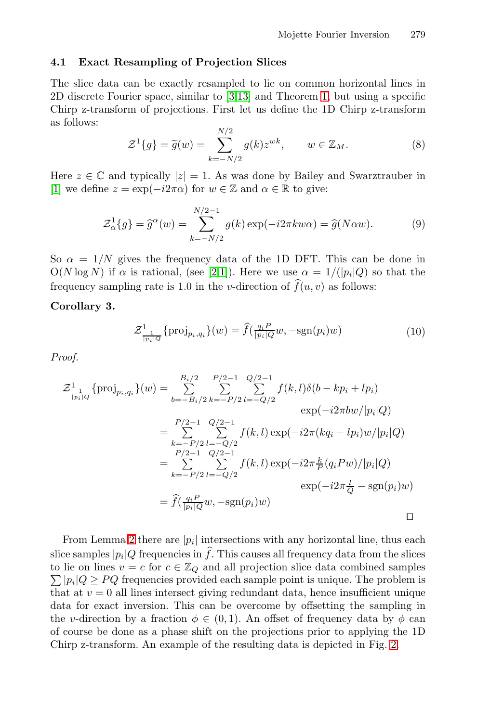## **4.1 Exact Resampling of Projection Slices**

The slice data can be exactly resampled to lie on common horizontal lines in 2D discrete Fourier space, similar to [3,13] and Theorem 1, but using a specific Chirp z-transform of projections. First let us define the 1D Chirp z-transform as follows:

<span id="page-4-0"></span>
$$
\mathcal{Z}^1\{g\} = \widetilde{g}(w) = \sum_{k=-N/2}^{N/2} g(k) z^{wk}, \qquad w \in \mathbb{Z}_M.
$$
 (8)

Here  $z \in \mathbb{C}$  $z \in \mathbb{C}$  $z \in \mathbb{C}$  an[d](#page-9-8) t[yp](#page-9-9)ically  $|z| = 1$ . As was done by Bailey and Swarztrauber in [1] we define  $z = \exp(-i2\pi\alpha)$  for  $w \in \mathbb{Z}$  and  $\alpha \in \mathbb{R}$  to give:

$$
\mathcal{Z}_{\alpha}^{1}\{g\} = \widehat{g}^{\alpha}(w) = \sum_{k=-N/2}^{N/2-1} g(k) \exp(-i2\pi kw\alpha) = \widehat{g}(N\alpha w). \tag{9}
$$

So  $\alpha = 1/N$  gives the frequency data of the 1D DFT. This can be done in  $O(N \log N)$  if  $\alpha$  is rational, (see [2,1]). Here we use  $\alpha = 1/(|p_i|Q)$  so that the frequency sampling rate is 1.0 in the *v*-direction of  $f(u, v)$  as follows:

**Corollary 3.**

$$
\mathcal{Z}_{\frac{1}{|p_i|Q}}^1\{\text{proj}_{p_i,q_i}\}(w) = \hat{f}(\frac{q_iP}{|p_i|Q}w, -\text{sgn}(p_i)w)
$$
\n(10)

*Proof.*

$$
\mathcal{Z}_{\frac{1}{|p_i|Q}}^1 \{ \text{proj}_{p_i, q_i} \}(w) = \sum_{b=-B_i/2}^{B_i/2} \sum_{k=-P/2}^{P/2-1} \sum_{l=-Q/2}^{Q/2-1} f(k, l) \delta(b - kp_i + lp_i)
$$
  
\n
$$
= \sum_{k=-P/2}^{P/2-1} \sum_{l=-Q/2}^{Q/2-1} f(k, l) \exp(-i2\pi (kq_i - lp_i)w/|p_i|Q)
$$
  
\n
$$
= \sum_{k=-P/2}^{P/2-1} \sum_{l=-Q/2}^{Q/2-1} f(k, l) \exp(-i2\pi \frac{k}{P}(q_i Pw)/|p_i|Q)
$$
  
\n
$$
= \sum_{k=-P/2}^{P/2-1} \sum_{l=-Q/2}^{Q/2-1} f(k, l) \exp(-i2\pi \frac{k}{P}(q_i Pw)/|p_i|Q)
$$
  
\n
$$
= \hat{f}(\frac{q_i P}{|p_i|Q}w, -\text{sgn}(p_i)w)
$$

From Lemma 2 there are  $|p_i|$  intersections with any [h](#page-5-0)orizontal line, thus each slice samples  $|p_i|Q$  frequencies in f. This causes all frequency data from the slices to lie on lines  $v = c$  for  $c \in \mathbb{Z}$  a and all projection slice data combined samples to lie on lines  $v = c$  for  $c \in \mathbb{Z}_Q$  and all projection slice data combined samples<br> $\sum |v_i| Q \ge PO$  frequencies provided each sample point is unique. The problem is  $\sum |p_i|Q \ge PQ$  frequencies provided each sample point is unique. The problem is<br>that at  $v = 0$  all lines intersect giving redundant data, hence insufficient unique that at  $v = 0$  all lines intersect giving redundant data, hence insufficient unique data for exact inversion. This can be overcome by offsetting the sampling in the v-direction by a fraction  $\phi \in (0,1)$ . An offset of frequency data by  $\phi$  can of course be done as a phase shift on the projections prior to applying the 1D Chirp z-transform. An example of the resulting data is depicted in Fig. 2.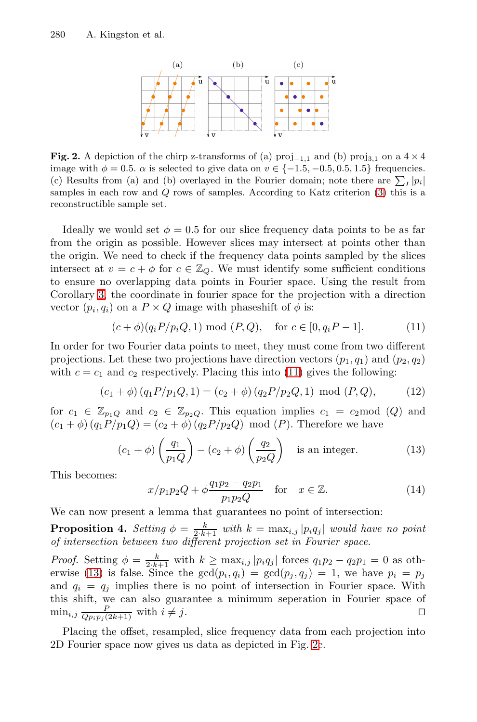#### <span id="page-5-0"></span>280 A. Kingston et al.

<span id="page-5-1"></span>

| (a) | (b)          | (c)    |
|-----|--------------|--------|
| u   |              | ũ<br>u |
|     |              |        |
|     |              |        |
| ¥V  | $\mathbf{V}$ | ¥ν     |

**Fig. 2.** A depiction of the chirp z-transforms of (a) proj<sub> $-1,1$ </sub> and (b) proj<sub>3</sub>,1 on a 4  $\times$  4 image with  $\phi = 0.5$ .  $\alpha$  is selected to give data on  $v \in \{-1.5, -0.5, 0.5, 1.5\}$  frequencies. (c) Results from (a) and (b) overlayed in the Fourier domain; note there are  $\sum_I |p_i|$ samples in each row and Q rows of samples. According to Katz criterion (3) this is a reconstructible sample set.

Ideally we would set  $\phi = 0.5$  for our slice frequency data points to be as far from the origin as possible. However slices may intersect at points other than the origin. We need to check if the frequency data points sampled by the slices intersect at  $v = c + \phi$  for  $c \in \mathbb{Z}_Q$  $c \in \mathbb{Z}_Q$ . We must identify some sufficient conditions to ensure no overlapping data points in Fourier space. Using the result from Corollary 3, the coordinate in fourier space for the projection with a direction vector  $(p_i, q_i)$  on a  $P \times Q$  image with phaseshift of  $\phi$  is:

$$
(c+\phi)(q_i P/p_i Q, 1) \bmod (P, Q), \quad \text{for } c \in [0, q_i P-1].
$$
 (11)

In order for two Fourier data points to meet, they must come from two different projections. Let these two projections have direction vectors  $(p_1, q_1)$  and  $(p_2, q_2)$ with  $c = c_1$  and  $c_2$  respectively. Placing this into (11) gives the following:

$$
(c_1 + \phi) (q_1 P / p_1 Q, 1) = (c_2 + \phi) (q_2 P / p_2 Q, 1) \text{ mod } (P, Q), \quad (12)
$$

for  $c_1 \in \mathbb{Z}_{p_1Q}$  and  $c_2 \in \mathbb{Z}_{p_2Q}$ . This equation implies  $c_1 = c_2 \mod (Q)$  and  $(c_1 + \phi) (q_1 P / p_1 Q) = (c_2 + \phi) (q_2 P / p_2 Q) \text{ mod } (P)$ . Therefore we have

$$
(c_1 + \phi) \left(\frac{q_1}{p_1 Q}\right) - (c_2 + \phi) \left(\frac{q_2}{p_2 Q}\right) \text{ is an integer.}
$$
 (13)

This becomes:

$$
x/p_1p_2Q + \phi \frac{q_1p_2 - q_2p_1}{p_1p_2Q} \quad \text{for} \quad x \in \mathbb{Z}.
$$
 (14)  
We can now present a lemma that guarantees no point of intersection:

**Proposition 4.** *Setting*  $\phi = \frac{k}{2 \cdot k+1}$  *with*  $k = \max_{i,j} |p_i q_j|$  *would have no point of intersection between two different [pro](#page-5-0)jection set in Fourier space.* 

*Proof.* Setting  $\phi = \frac{k}{2 \cdot k + 1}$  with  $k \ge \max_{i,j} |p_i q_j|$  forces  $q_1 p_2 - q_2 p_1 = 0$  as oth-<br>erwise (13) is false Since the  $\gcd(n, a_i) = \gcd(n, a_i) = 1$  we have  $n_i = n_i$ erwise (13) is false. Since the  $gcd(p_i, q_i) = gcd(p_j, q_j) = 1$ , we have  $p_i = p_j$ <br>and  $q_i = q_i$  implies there is no point of intersection in Fourier space. With and  $q_i = q_j$  implies there is no point of intersection in Fourier space. With this shift, we can also guarantee a minimum seperation in Fourier space of  $\min_{i,j} \frac{P}{Q_{p_i p_j}(2k+1)}$  with  $i \neq j$ .

Placing the offset, resampled, slice frequency data from each projection into 2D Fourier space now gives us data as depicted in Fig. 2c.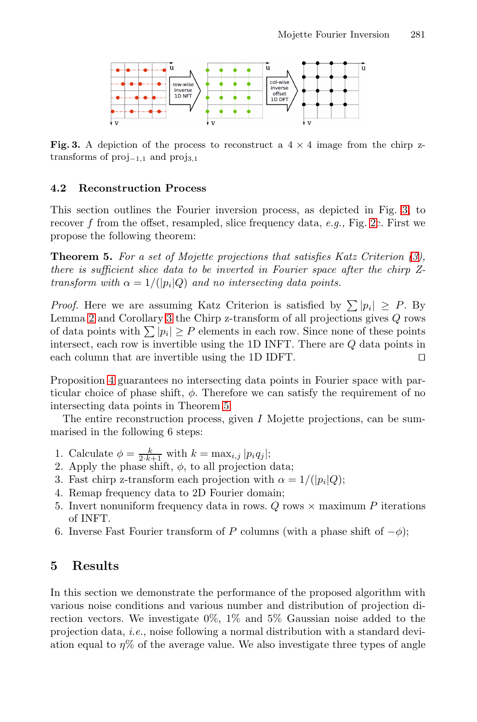<span id="page-6-1"></span>

**Fig. 3.** A depiction of the process to reconstruct a  $4 \times 4$  image from the chirp ztransforms of proj*−*1*,*<sup>1</sup> and proj3*,*<sup>1</sup>

#### **4.2 Reconstruction Process**

This section outlines the Fourier inversion process, as depicted in Fig. 3, to recove[r](#page-4-0) f from the offset, resampled, slice frequency data, *e.g.,* Fig. 2c. First we propose the following theorem:

**Theorem 5.** *For a set of Mojette projections that satisfies Katz Criterion (3), there is sufficient slice data to be inverted in Fourier space after the chirp Ztransform with*  $\alpha = 1/(|p_i|Q)$  *and no intersecting data points.* 

*Proof.* He[re](#page-6-1) we are assuming Katz Criterion is satisfied by  $\sum |p_i| \geq P$ . By Lemma 2 and Corollary 3 the Chirp z-transform of all projections gives Q rows of data points with  $\sum |p_i| \geq P$  elements in each row. Since none of these points intersect, each row is invertible using the 1D INFT. There are  $Q$  data points in each column that are invertible using the 1D IDFT. each column that are invertible using the 1D IDFT.

<span id="page-6-0"></span>Proposition 4 guarantees no intersecting data points in Fourier space with particular choice of phase shift,  $\phi$ . Therefore we can satisfy the requirement of no intersecting data points in Theorem 5.

The entire reconstruction process, given I Mojette projections, can be summarised in the following 6 steps:

- 1. Calculate  $\phi = \frac{k}{2 \cdot k+1}$  with  $k = \max_{i,j} |p_i q_j|$ ;<br>2. Apply the phase shift  $\phi$  to all projection
- 2. Apply the phase shift,  $\phi$ , to all projection data;
- 3. Fast chirp z-transform each projection with  $\alpha = 1/(|p_i|Q)$ ;
- 4. Remap frequency data to 2D Fourier domain;
- 5. Invert nonuniform frequency data in rows. Q rows  $\times$  maximum P iterations of INFT.
- 6. Inverse Fast Fourier transform of P columns (with a phase shift of  $-\phi$ );

### **5 Results**

In this section we demonstrate the performance of the proposed algorithm with various noise conditions and various number and distribution of projection direction vectors. We investigate 0%, 1% and 5% Gaussian noise added to the projection data, *i.e.*, noise following a normal distribution with a standard deviation equal to  $\eta\%$  of the average value. We also investigate three types of angle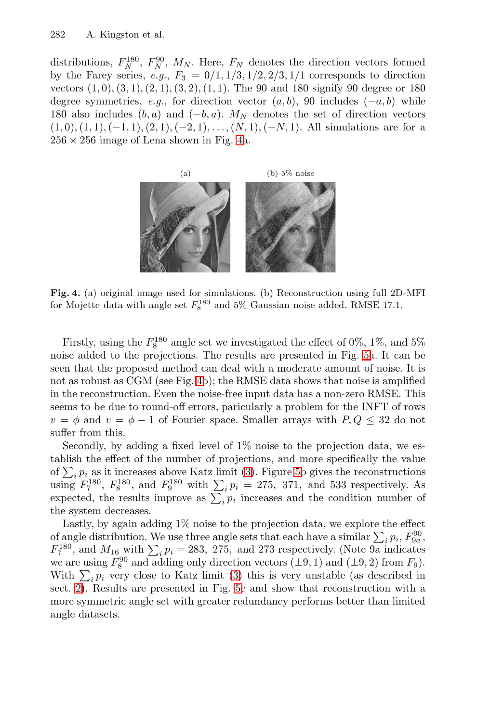#### 282 A. Kingston et [a](#page-7-0)l.

<span id="page-7-0"></span>distributions,  $F_N^{180}$ ,  $F_N^{90}$ ,  $M_N$ . Here,  $F_N$  denotes the direction vectors formed<br>by the Farey series  $e, a, F_0 = 0/1, 1/3, 1/2, 2/3, 1/1$  corresponds to direction by the Farey series,  $e.g., F_3 = 0/1, 1/3, 1/2, 2/3, 1/1$  corresponds to direction vectors  $(1, 0), (3, 1), (2, 1), (3, 2), (1, 1)$ . The 90 and 180 signify 90 degree or 180 degree symmetries, *e.g.*, for direction vector  $(a, b)$ , 90 includes  $(-a, b)$  while 180 also includes  $(b, a)$  and  $(-b, a)$ .  $M_N$  denotes the set of direction vectors  $(1, 0), (1, 1), (-1, 1), (2, 1), (-2, 1), \ldots, (N, 1), (-N, 1).$  All simulations are for a  $256 \times 256$  image of Lena shown in Fig. 4a.



**Fig. 4.** (a) original image used for simulations. (b) Reconstruction using full 2D-MFI for Mojette data with angle set  $F_8^{180}$  and 5% Gaussian noise added. RMSE 17.1.

Firstly, using the  $F_8^{180}$  angle set we investigated the effect of 0%, 1%, and 5% ise added to the projections. The results are presented in Fig. 5a. It can be noise added to the projections. The results are presented in Fig. 5a. It can be seen that the proposed [m](#page-1-1)ethod c[an](#page-8-0) deal with a moderate amount of noise. It is not as robust as CGM (see Fig. 4b); the RMSE data shows that noise is amplified in the reconstruction. Even the noise-free input data has a non-zero RMSE. This seems to be due to round-off errors, paricularly a problem for the INFT of rows  $v = \phi$  and  $v = \phi - 1$  of Fourier space. Smaller arrays with  $P, Q \leq 32$  do not suffer from this.

Secondly, by adding a fixed level of 1% noise to the projection data, we establish the effect of the number of projections, and more specifically the value of  $\sum_i p_i$  as it increas[es](#page-1-1) above Katz limit (3). Figure 5b gives the reconstructions<br>using  $F^{180}$   $F^{180}$  and  $F^{180}$  with  $\sum n_i = 275$  371 and 533 respectively. As using  $F_7^{180}$ ,  $F_8^{180}$ , a[nd](#page-8-0)  $F_9^{180}$  with  $\sum_i p_i = 275$ , 371, and 533 respectively. As expected, the results improve as  $\sum_i p_i$  increases and the condition number of the system decreases the system decreases.

Lastly, by again adding 1% noise to the projection data, we explore the effect of angle distribution. We use three angle sets that each have a similar  $\sum_i p_i$ ,  $F_{90}^{90}$ ,  $F_{180}^{180}$  and  $M_{12}$  with  $\sum_i p_i = 283$ , 275, and 273 respectively. (Note 9a indicates  $F_7^{180}$ , and  $M_{16}$  with  $\sum_i p_i = 283$ , 275, and 273 respectively. (Note 9a indicates we are using  $F_{10}^{90}$  and adding only direction vectors (+9, 1) and (+9, 2) from  $F_6$ ) we are using  $F_8^{90}$  and adding only direction vectors  $(\pm 9, 1)$  and  $(\pm 9, 2)$  from  $F_9$ ).<br>With  $\Sigma$  n, yery close to Katz limit (3) this is yery unstable (as described in With  $\sum_i p_i$  very close to Katz limit (3) this is very unstable (as described in sect. 2). Besults are presented in Fig. 5c and show that reconstruction with a sect. 2). Results are presented in Fig. 5c and show that reconstruction with a more symmetric angle set with greater redundancy performs better than limited angle datasets.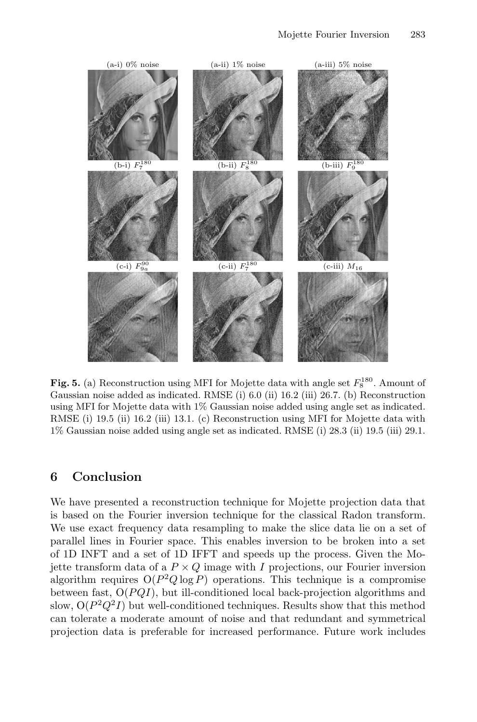

<span id="page-8-0"></span>**Fig. 5.** (a) Reconstruction using MFI for Mojette data with angle set  $F_8^{180}$ . Amount of Gaussian noise added as indicated. RMSE (i) 6.0 (ii) 16.2 (iii) 26.7. (b) Reconstruction using MFI for Mojette data with 1% Gaussian noise added using angle set as indicated. RMSE (i) 19.5 (ii) 16.2 (iii) 13.1. (c) Reconstruction using MFI for Mojette data with 1% Gaussian noise added using angle set as indicated. RMSE (i) 28.3 (ii) 19.5 (iii) 29.1.

## **6 Conclusion**

We have presented a reconstruction technique for Mojette projection data that is based on the Fourier inversion technique for the classical Radon transform. We use exact frequency data resampling to make the slice data lie on a set of parallel lines in Fourier space. This enables inversion to be broken into a set of 1D INFT and a set of 1D IFFT and speeds up the process. Given the Mojette transform data of a  $P \times Q$  image with I projections, our Fourier inversion algorithm requires  $O(P^2Q \log P)$  operations. This technique is a compromise between fast,  $O(PQI)$ , but ill-conditioned local back-projection algorithms and slow,  $O(P^2Q^2I)$  but well-conditioned techniques. Results show that this method can tolerate a moderate amount of noise and that redundant and symmetrical projection data is preferable for increased performance. Future work includes